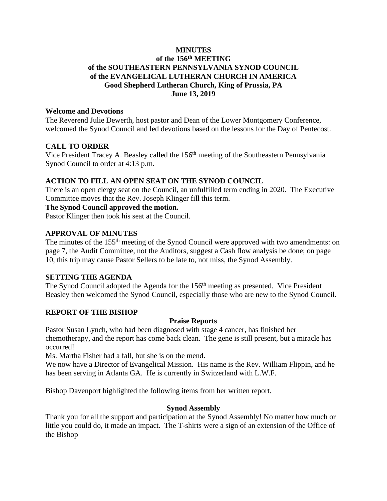## **MINUTES of the 156 th MEETING of the SOUTHEASTERN PENNSYLVANIA SYNOD COUNCIL of the EVANGELICAL LUTHERAN CHURCH IN AMERICA Good Shepherd Lutheran Church, King of Prussia, PA June 13, 2019**

## **Welcome and Devotions**

The Reverend Julie Dewerth, host pastor and Dean of the Lower Montgomery Conference, welcomed the Synod Council and led devotions based on the lessons for the Day of Pentecost.

## **CALL TO ORDER**

Vice President Tracey A. Beasley called the 156<sup>th</sup> meeting of the Southeastern Pennsylvania Synod Council to order at 4:13 p.m.

## **ACTION TO FILL AN OPEN SEAT ON THE SYNOD COUNCIL**

There is an open clergy seat on the Council, an unfulfilled term ending in 2020. The Executive Committee moves that the Rev. Joseph Klinger fill this term.

## **The Synod Council approved the motion.**

Pastor Klinger then took his seat at the Council.

## **APPROVAL OF MINUTES**

The minutes of the 155<sup>th</sup> meeting of the Synod Council were approved with two amendments: on page 7, the Audit Committee, not the Auditors, suggest a Cash flow analysis be done; on page 10, this trip may cause Pastor Sellers to be late to, not miss, the Synod Assembly.

## **SETTING THE AGENDA**

The Synod Council adopted the Agenda for the 156<sup>th</sup> meeting as presented. Vice President Beasley then welcomed the Synod Council, especially those who are new to the Synod Council.

## **REPORT OF THE BISHOP**

## **Praise Reports**

Pastor Susan Lynch, who had been diagnosed with stage 4 cancer, has finished her chemotherapy, and the report has come back clean. The gene is still present, but a miracle has occurred!

Ms. Martha Fisher had a fall, but she is on the mend.

We now have a Director of Evangelical Mission. His name is the Rev. William Flippin, and he has been serving in Atlanta GA. He is currently in Switzerland with L.W.F.

Bishop Davenport highlighted the following items from her written report.

## **Synod Assembly**

Thank you for all the support and participation at the Synod Assembly! No matter how much or little you could do, it made an impact. The T-shirts were a sign of an extension of the Office of the Bishop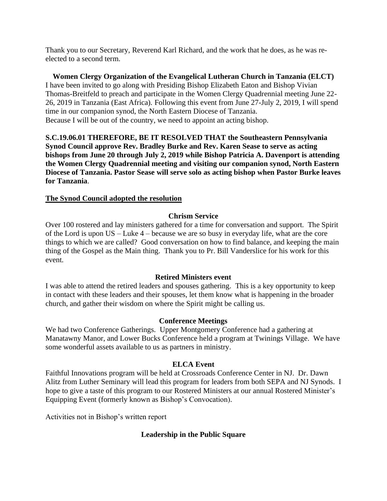Thank you to our Secretary, Reverend Karl Richard, and the work that he does, as he was reelected to a second term.

**Women Clergy Organization of the Evangelical Lutheran Church in Tanzania (ELCT)** I have been invited to go along with Presiding Bishop Elizabeth Eaton and Bishop Vivian Thomas-Breitfeld to preach and participate in the Women Clergy Quadrennial meeting June 22- 26, 2019 in Tanzania (East Africa). Following this event from June 27-July 2, 2019, I will spend time in our companion synod, the North Eastern Diocese of Tanzania. Because I will be out of the country, we need to appoint an acting bishop.

**S.C.19.06.01 THEREFORE, BE IT RESOLVED THAT the Southeastern Pennsylvania Synod Council approve Rev. Bradley Burke and Rev. Karen Sease to serve as acting bishops from June 20 through July 2, 2019 while Bishop Patricia A. Davenport is attending the Women Clergy Quadrennial meeting and visiting our companion synod, North Eastern Diocese of Tanzania. Pastor Sease will serve solo as acting bishop when Pastor Burke leaves for Tanzania**.

## **The Synod Council adopted the resolution**

## **Chrism Service**

Over 100 rostered and lay ministers gathered for a time for conversation and support. The Spirit of the Lord is upon US – Luke 4 – because we are so busy in everyday life, what are the core things to which we are called? Good conversation on how to find balance, and keeping the main thing of the Gospel as the Main thing. Thank you to Pr. Bill Vanderslice for his work for this event.

## **Retired Ministers event**

I was able to attend the retired leaders and spouses gathering. This is a key opportunity to keep in contact with these leaders and their spouses, let them know what is happening in the broader church, and gather their wisdom on where the Spirit might be calling us.

## **Conference Meetings**

We had two Conference Gatherings. Upper Montgomery Conference had a gathering at Manatawny Manor, and Lower Bucks Conference held a program at Twinings Village. We have some wonderful assets available to us as partners in ministry.

## **ELCA Event**

Faithful Innovations program will be held at Crossroads Conference Center in NJ. Dr. Dawn Alitz from Luther Seminary will lead this program for leaders from both SEPA and NJ Synods. I hope to give a taste of this program to our Rostered Ministers at our annual Rostered Minister's Equipping Event (formerly known as Bishop's Convocation).

Activities not in Bishop's written report

## **Leadership in the Public Square**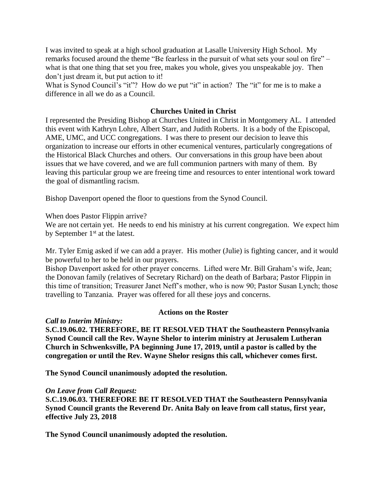I was invited to speak at a high school graduation at Lasalle University High School. My remarks focused around the theme "Be fearless in the pursuit of what sets your soul on fire" – what is that one thing that set you free, makes you whole, gives you unspeakable joy. Then don't just dream it, but put action to it!

What is Synod Council's "it"? How do we put "it" in action? The "it" for me is to make a difference in all we do as a Council.

## **Churches United in Christ**

I represented the Presiding Bishop at Churches United in Christ in Montgomery AL. I attended this event with Kathryn Lohre, Albert Starr, and Judith Roberts. It is a body of the Episcopal, AME, UMC, and UCC congregations. I was there to present our decision to leave this organization to increase our efforts in other ecumenical ventures, particularly congregations of the Historical Black Churches and others. Our conversations in this group have been about issues that we have covered, and we are full communion partners with many of them. By leaving this particular group we are freeing time and resources to enter intentional work toward the goal of dismantling racism.

Bishop Davenport opened the floor to questions from the Synod Council.

When does Pastor Flippin arrive?

We are not certain yet. He needs to end his ministry at his current congregation. We expect him by September 1<sup>st</sup> at the latest.

Mr. Tyler Emig asked if we can add a prayer. His mother (Julie) is fighting cancer, and it would be powerful to her to be held in our prayers.

Bishop Davenport asked for other prayer concerns. Lifted were Mr. Bill Graham's wife, Jean; the Donovan family (relatives of Secretary Richard) on the death of Barbara; Pastor Flippin in this time of transition; Treasurer Janet Neff's mother, who is now 90; Pastor Susan Lynch; those travelling to Tanzania. Prayer was offered for all these joys and concerns.

#### **Actions on the Roster**

*Call to Interim Ministry:*

**S.C.19.06.02. THEREFORE, BE IT RESOLVED THAT the Southeastern Pennsylvania Synod Council call the Rev. Wayne Shelor to interim ministry at Jerusalem Lutheran Church in Schwenksville, PA beginning June 17, 2019, until a pastor is called by the congregation or until the Rev. Wayne Shelor resigns this call, whichever comes first.**

**The Synod Council unanimously adopted the resolution.**

#### *On Leave from Call Request:*

**S.C.19.06.03. THEREFORE BE IT RESOLVED THAT the Southeastern Pennsylvania Synod Council grants the Reverend Dr. Anita Baly on leave from call status, first year, effective July 23, 2018**

**The Synod Council unanimously adopted the resolution.**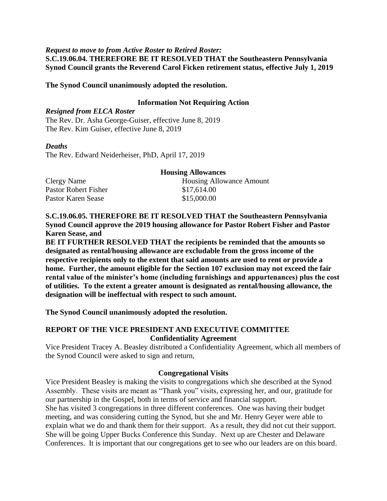#### *Request to move to from Active Roster to Retired Roster:*

**S.C.19.06.04. THEREFORE BE IT RESOLVED THAT the Southeastern Pennsylvania Synod Council grants the Reverend Carol Ficken retirement status, effective July 1, 2019**

### **The Synod Council unanimously adopted the resolution.**

#### **Information Not Requiring Action**

## *Resigned from ELCA Roster*

The Rev. Dr. Asha George-Guiser, effective June 8, 2019 The Rev. Kim Guiser, effective June 8, 2019

#### *Deaths*

The Rev. Edward Neiderheiser, PhD, April 17, 2019

|                      | <b>Housing Allowances</b> |
|----------------------|---------------------------|
| Clergy Name          | Housing Allowance Amount  |
| Pastor Robert Fisher | \$17,614.00               |
| Pastor Karen Sease   | \$15,000.00               |

**S.C.19.06.05. THEREFORE BE IT RESOLVED THAT the Southeastern Pennsylvania Synod Council approve the 2019 housing allowance for Pastor Robert Fisher and Pastor Karen Sease, and** 

**BE IT FURTHER RESOLVED THAT the recipients be reminded that the amounts so designated as rental/housing allowance are excludable from the gross income of the respective recipients only to the extent that said amounts are used to rent or provide a home. Further, the amount eligible for the Section 107 exclusion may not exceed the fair rental value of the minister's home (including furnishings and appurtenances) plus the cost of utilities. To the extent a greater amount is designated as rental/housing allowance, the designation will be ineffectual with respect to such amount.**

**The Synod Council unanimously adopted the resolution.**

## **REPORT OF THE VICE PRESIDENT AND EXECUTIVE COMMITTEE Confidentiality Agreement**

Vice President Tracey A. Beasley distributed a Confidentiality Agreement, which all members of the Synod Council were asked to sign and return,

#### **Congregational Visits**

Vice President Beasley is making the visits to congregations which she described at the Synod Assembly. These visits are meant as "Thank you" visits, expressing her, and our, gratitude for our partnership in the Gospel, both in terms of service and financial support.

She has visited 3 congregations in three different conferences. One was having their budget meeting, and was considering cutting the Synod, but she and Mr. Henry Geyer were able to explain what we do and thank them for their support. As a result, they did not cut their support. She will be going Upper Bucks Conference this Sunday. Next up are Chester and Delaware Conferences. It is important that our congregations get to see who our leaders are on this board.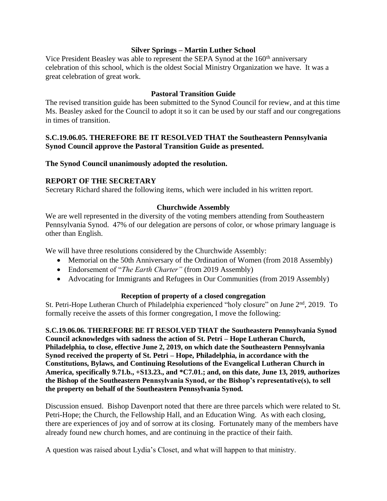## **Silver Springs – Martin Luther School**

Vice President Beasley was able to represent the SEPA Synod at the 160<sup>th</sup> anniversary celebration of this school, which is the oldest Social Ministry Organization we have. It was a great celebration of great work.

## **Pastoral Transition Guide**

The revised transition guide has been submitted to the Synod Council for review, and at this time Ms. Beasley asked for the Council to adopt it so it can be used by our staff and our congregations in times of transition.

## **S.C.19.06.05. THEREFORE BE IT RESOLVED THAT the Southeastern Pennsylvania Synod Council approve the Pastoral Transition Guide as presented.**

## **The Synod Council unanimously adopted the resolution.**

## **REPORT OF THE SECRETARY**

Secretary Richard shared the following items, which were included in his written report.

#### **Churchwide Assembly**

We are well represented in the diversity of the voting members attending from Southeastern Pennsylvania Synod. 47% of our delegation are persons of color, or whose primary language is other than English.

We will have three resolutions considered by the Churchwide Assembly:

- Memorial on the 50th Anniversary of the Ordination of Women (from 2018 Assembly)
- Endorsement of "*The Earth Charter"* (from 2019 Assembly)
- Advocating for Immigrants and Refugees in Our Communities (from 2019 Assembly)

## **Reception of property of a closed congregation**

St. Petri-Hope Lutheran Church of Philadelphia experienced "holy closure" on June 2<sup>nd</sup>, 2019. To formally receive the assets of this former congregation, I move the following:

**S.C.19.06.06. THEREFORE BE IT RESOLVED THAT the Southeastern Pennsylvania Synod Council acknowledges with sadness the action of St. Petri – Hope Lutheran Church, Philadelphia, to close, effective June 2, 2019, on which date the Southeastern Pennsylvania Synod received the property of St. Petri – Hope, Philadelphia, in accordance with the Constitutions, Bylaws, and Continuing Resolutions of the Evangelical Lutheran Church in America, specifically 9.71.b., +S13.23., and \*C7.01.; and, on this date, June 13, 2019, authorizes the Bishop of the Southeastern Pennsylvania Synod, or the Bishop's representative(s), to sell the property on behalf of the Southeastern Pennsylvania Synod.**

Discussion ensued. Bishop Davenport noted that there are three parcels which were related to St. Petri-Hope; the Church, the Fellowship Hall, and an Education Wing. As with each closing, there are experiences of joy and of sorrow at its closing. Fortunately many of the members have already found new church homes, and are continuing in the practice of their faith.

A question was raised about Lydia's Closet, and what will happen to that ministry.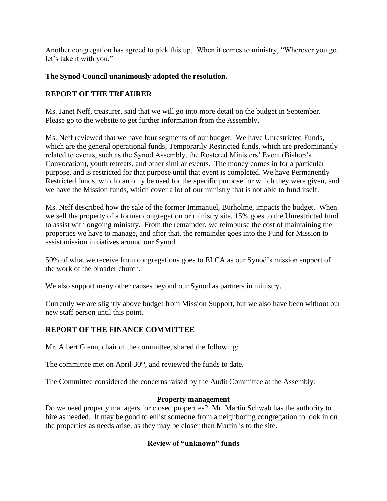Another congregation has agreed to pick this up. When it comes to ministry, "Wherever you go, let's take it with you."

## **The Synod Council unanimously adopted the resolution.**

# **REPORT OF THE TREAURER**

Ms. Janet Neff, treasurer, said that we will go into more detail on the budget in September. Please go to the website to get further information from the Assembly.

Ms. Neff reviewed that we have four segments of our budget. We have Unrestricted Funds, which are the general operational funds, Temporarily Restricted funds, which are predominantly related to events, such as the Synod Assembly, the Rostered Ministers' Event (Bishop's Convocation), youth retreats, and other similar events. The money comes in for a particular purpose, and is restricted for that purpose until that event is completed. We have Permanently Restricted funds, which can only be used for the specific purpose for which they were given, and we have the Mission funds, which cover a lot of our ministry that is not able to fund itself.

Ms. Neff described how the sale of the former Immanuel, Burholme, impacts the budget. When we sell the property of a former congregation or ministry site, 15% goes to the Unrestricted fund to assist with ongoing ministry. From the remainder, we reimburse the cost of maintaining the properties we have to manage, and after that, the remainder goes into the Fund for Mission to assist mission initiatives around our Synod.

50% of what we receive from congregations goes to ELCA as our Synod's mission support of the work of the broader church.

We also support many other causes beyond our Synod as partners in ministry.

Currently we are slightly above budget from Mission Support, but we also have been without our new staff person until this point.

# **REPORT OF THE FINANCE COMMITTEE**

Mr. Albert Glenn, chair of the committee, shared the following:

The committee met on April 30<sup>th</sup>, and reviewed the funds to date.

The Committee considered the concerns raised by the Audit Committee at the Assembly:

## **Property management**

Do we need property managers for closed properties? Mr. Martin Schwab has the authority to hire as needed. It may be good to enlist someone from a neighboring congregation to look in on the properties as needs arise, as they may be closer than Martin is to the site.

## **Review of "unknown" funds**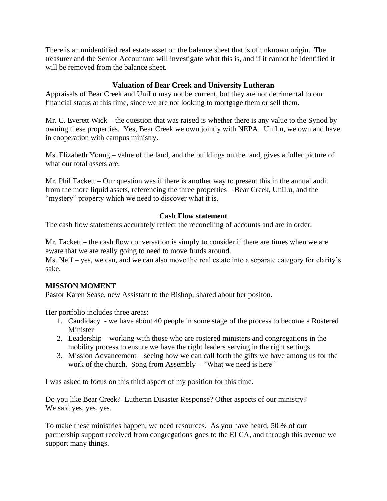There is an unidentified real estate asset on the balance sheet that is of unknown origin. The treasurer and the Senior Accountant will investigate what this is, and if it cannot be identified it will be removed from the balance sheet.

## **Valuation of Bear Creek and University Lutheran**

Appraisals of Bear Creek and UniLu may not be current, but they are not detrimental to our financial status at this time, since we are not looking to mortgage them or sell them.

Mr. C. Everett Wick – the question that was raised is whether there is any value to the Synod by owning these properties. Yes, Bear Creek we own jointly with NEPA. UniLu, we own and have in cooperation with campus ministry.

Ms. Elizabeth Young – value of the land, and the buildings on the land, gives a fuller picture of what our total assets are.

Mr. Phil Tackett – Our question was if there is another way to present this in the annual audit from the more liquid assets, referencing the three properties – Bear Creek, UniLu, and the "mystery" property which we need to discover what it is.

## **Cash Flow statement**

The cash flow statements accurately reflect the reconciling of accounts and are in order.

Mr. Tackett – the cash flow conversation is simply to consider if there are times when we are aware that we are really going to need to move funds around.

Ms. Neff – yes, we can, and we can also move the real estate into a separate category for clarity's sake.

## **MISSION MOMENT**

Pastor Karen Sease, new Assistant to the Bishop, shared about her positon.

Her portfolio includes three areas:

- 1. Candidacy we have about 40 people in some stage of the process to become a Rostered Minister
- 2. Leadership working with those who are rostered ministers and congregations in the mobility process to ensure we have the right leaders serving in the right settings.
- 3. Mission Advancement seeing how we can call forth the gifts we have among us for the work of the church. Song from Assembly – "What we need is here"

I was asked to focus on this third aspect of my position for this time.

Do you like Bear Creek? Lutheran Disaster Response? Other aspects of our ministry? We said yes, yes, yes.

To make these ministries happen, we need resources. As you have heard, 50 % of our partnership support received from congregations goes to the ELCA, and through this avenue we support many things.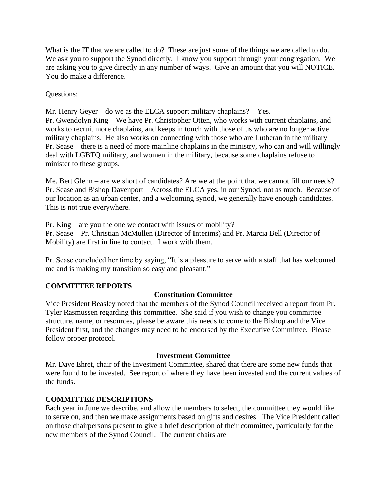What is the IT that we are called to do? These are just some of the things we are called to do. We ask you to support the Synod directly. I know you support through your congregation. We are asking you to give directly in any number of ways. Give an amount that you will NOTICE. You do make a difference.

Questions:

Mr. Henry Geyer – do we as the ELCA support military chaplains? – Yes.

Pr. Gwendolyn King – We have Pr. Christopher Otten, who works with current chaplains, and works to recruit more chaplains, and keeps in touch with those of us who are no longer active military chaplains. He also works on connecting with those who are Lutheran in the military Pr. Sease – there is a need of more mainline chaplains in the ministry, who can and will willingly deal with LGBTQ military, and women in the military, because some chaplains refuse to minister to these groups.

Me. Bert Glenn – are we short of candidates? Are we at the point that we cannot fill our needs? Pr. Sease and Bishop Davenport – Across the ELCA yes, in our Synod, not as much. Because of our location as an urban center, and a welcoming synod, we generally have enough candidates. This is not true everywhere.

Pr. King – are you the one we contact with issues of mobility? Pr. Sease – Pr. Christian McMullen (Director of Interims) and Pr. Marcia Bell (Director of Mobility) are first in line to contact. I work with them.

Pr. Sease concluded her time by saying, "It is a pleasure to serve with a staff that has welcomed me and is making my transition so easy and pleasant."

## **COMMITTEE REPORTS**

# **Constitution Committee**

Vice President Beasley noted that the members of the Synod Council received a report from Pr. Tyler Rasmussen regarding this committee. She said if you wish to change you committee structure, name, or resources, please be aware this needs to come to the Bishop and the Vice President first, and the changes may need to be endorsed by the Executive Committee. Please follow proper protocol.

## **Investment Committee**

Mr. Dave Ehret, chair of the Investment Committee, shared that there are some new funds that were found to be invested. See report of where they have been invested and the current values of the funds.

## **COMMITTEE DESCRIPTIONS**

Each year in June we describe, and allow the members to select, the committee they would like to serve on, and then we make assignments based on gifts and desires. The Vice President called on those chairpersons present to give a brief description of their committee, particularly for the new members of the Synod Council. The current chairs are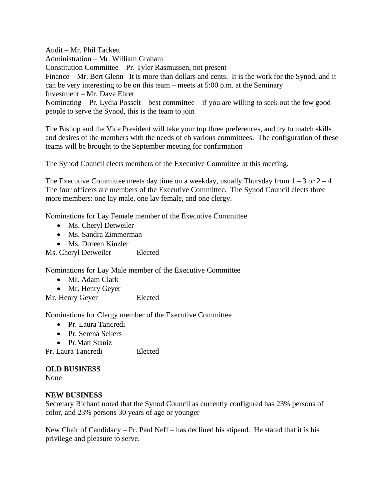Audit – Mr. Phil Tackett Administration – Mr. William Graham Constitution Committee – Pr. Tyler Rasmussen, not present Finance – Mr. Bert Glenn –It is more than dollars and cents. It is the work for the Synod, and it can be very interesting to be on this team – meets at 5:00 p.m. at the Seminary Investment – Mr. Dave Ehret Nominating – Pr. Lydia Posselt – best committee – if you are willing to seek out the few good people to serve the Synod, this is the team to join

The Bishop and the Vice President will take your top three preferences, and try to match skills and desires of the members with the needs of eh various committees. The configuration of these teams will be brought to the September meeting for confirmation

The Synod Council elects members of the Executive Committee at this meeting.

The Executive Committee meets day time on a weekday, usually Thursday from  $1 - 3$  or  $2 - 4$ The four officers are members of the Executive Committee. The Synod Council elects three more members: one lay male, one lay female, and one clergy.

Nominations for Lay Female member of the Executive Committee

- Ms. Cheryl Detweiler
- Ms. Sandra Zimmerman
- Ms. Doreen Kinzler

Ms. Cheryl Detweiler Elected

Nominations for Lay Male member of the Executive Committee

- Mr. Adam Clark
- Mr. Henry Geyer
- Mr. Henry Geyer Elected

Nominations for Clergy member of the Executive Committee

- Pr. Laura Tancredi
- Pr. Serena Sellers
- Pr.Matt Staniz
- Pr. Laura Tancredi Elected

### **OLD BUSINESS**

None

#### **NEW BUSINESS**

Secretary Richard noted that the Synod Council as currently configured has 23% persons of color, and 23% persons 30 years of age or younger

New Chair of Candidacy – Pr. Paul Neff – has declined his stipend. He stated that it is his privilege and pleasure to serve.